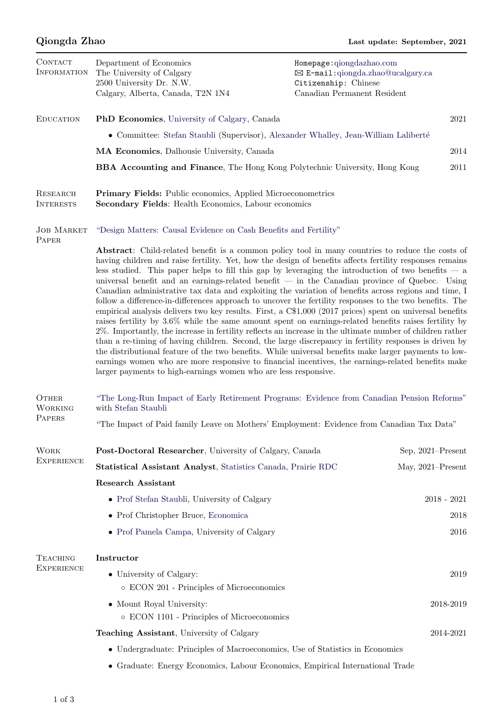| CONTACT<br><b>INFORMATION</b>        | Department of Economics<br>The University of Calgary<br>2500 University Dr. N.W.<br>Calgary, Alberta, Canada, T2N 1N4                                                                                                                                                                                                                                                                                                                                                                                                                                                                                                                                                                                                                                                                                                                                                                                                                                                                                                                                                                                                                                                                                                                                                                                                                                                           | Homepage: qiongdazhao.com<br>⊠ E-mail:qiongda.zhao@ucalgary.ca<br>Citizenship: Chinese<br>Canadian Permanent Resident |      |  |
|--------------------------------------|---------------------------------------------------------------------------------------------------------------------------------------------------------------------------------------------------------------------------------------------------------------------------------------------------------------------------------------------------------------------------------------------------------------------------------------------------------------------------------------------------------------------------------------------------------------------------------------------------------------------------------------------------------------------------------------------------------------------------------------------------------------------------------------------------------------------------------------------------------------------------------------------------------------------------------------------------------------------------------------------------------------------------------------------------------------------------------------------------------------------------------------------------------------------------------------------------------------------------------------------------------------------------------------------------------------------------------------------------------------------------------|-----------------------------------------------------------------------------------------------------------------------|------|--|
| <b>EDUCATION</b>                     | <b>PhD Economics</b> , University of Calgary, Canada                                                                                                                                                                                                                                                                                                                                                                                                                                                                                                                                                                                                                                                                                                                                                                                                                                                                                                                                                                                                                                                                                                                                                                                                                                                                                                                            |                                                                                                                       | 2021 |  |
|                                      | • Committee: Stefan Staubli (Supervisor), Alexander Whalley, Jean-William Laliberté                                                                                                                                                                                                                                                                                                                                                                                                                                                                                                                                                                                                                                                                                                                                                                                                                                                                                                                                                                                                                                                                                                                                                                                                                                                                                             |                                                                                                                       |      |  |
|                                      | MA Economics, Dalhousie University, Canada                                                                                                                                                                                                                                                                                                                                                                                                                                                                                                                                                                                                                                                                                                                                                                                                                                                                                                                                                                                                                                                                                                                                                                                                                                                                                                                                      |                                                                                                                       | 2014 |  |
|                                      | <b>BBA Accounting and Finance</b> , The Hong Kong Polytechnic University, Hong Kong                                                                                                                                                                                                                                                                                                                                                                                                                                                                                                                                                                                                                                                                                                                                                                                                                                                                                                                                                                                                                                                                                                                                                                                                                                                                                             |                                                                                                                       | 2011 |  |
| RESEARCH<br><b>INTERESTS</b>         | <b>Primary Fields:</b> Public economics, Applied Microeconometrics<br>Secondary Fields: Health Economics, Labour economics                                                                                                                                                                                                                                                                                                                                                                                                                                                                                                                                                                                                                                                                                                                                                                                                                                                                                                                                                                                                                                                                                                                                                                                                                                                      |                                                                                                                       |      |  |
| <b>JOB MARKET</b><br>PAPER           | "Design Matters: Causal Evidence on Cash Benefits and Fertility"                                                                                                                                                                                                                                                                                                                                                                                                                                                                                                                                                                                                                                                                                                                                                                                                                                                                                                                                                                                                                                                                                                                                                                                                                                                                                                                |                                                                                                                       |      |  |
|                                      | <b>Abstract:</b> Child-related benefit is a common policy tool in many countries to reduce the costs of<br>having children and raise fertility. Yet, how the design of benefits affects fertility responses remains<br>less studied. This paper helps to fill this gap by leveraging the introduction of two benefits $-$ a<br>universal benefit and an earnings-related benefit $-$ in the Canadian province of Quebec. Using<br>Canadian administrative tax data and exploiting the variation of benefits across regions and time, I<br>follow a difference-in-differences approach to uncover the fertility responses to the two benefits. The<br>empirical analysis delivers two key results. First, a C\$1,000 (2017 prices) spent on universal benefits<br>raises fertility by 3.6% while the same amount spent on earnings-related benefits raises fertility by<br>2%. Importantly, the increase in fertility reflects an increase in the ultimate number of children rather<br>than a re-timing of having children. Second, the large discrepancy in fertility responses is driven by<br>the distributional feature of the two benefits. While universal benefits make larger payments to low-<br>earnings women who are more responsive to financial incentives, the earnings-related benefits make<br>larger payments to high-earnings women who are less responsive. |                                                                                                                       |      |  |
| OTHER<br><b>WORKING</b><br>PAPERS    | "The Long-Run Impact of Early Retirement Programs: Evidence from Canadian Pension Reforms"<br>with Stefan Staubli                                                                                                                                                                                                                                                                                                                                                                                                                                                                                                                                                                                                                                                                                                                                                                                                                                                                                                                                                                                                                                                                                                                                                                                                                                                               |                                                                                                                       |      |  |
|                                      | "The Impact of Paid family Leave on Mothers' Employment: Evidence from Canadian Tax Data"                                                                                                                                                                                                                                                                                                                                                                                                                                                                                                                                                                                                                                                                                                                                                                                                                                                                                                                                                                                                                                                                                                                                                                                                                                                                                       |                                                                                                                       |      |  |
| <b>WORK</b><br><b>EXPERIENCE</b>     | Post-Doctoral Researcher, University of Calgary, Canada                                                                                                                                                                                                                                                                                                                                                                                                                                                                                                                                                                                                                                                                                                                                                                                                                                                                                                                                                                                                                                                                                                                                                                                                                                                                                                                         | Sep, 2021–Present                                                                                                     |      |  |
|                                      | Statistical Assistant Analyst, Statistics Canada, Prairie RDC                                                                                                                                                                                                                                                                                                                                                                                                                                                                                                                                                                                                                                                                                                                                                                                                                                                                                                                                                                                                                                                                                                                                                                                                                                                                                                                   | May, 2021-Present                                                                                                     |      |  |
|                                      | <b>Research Assistant</b>                                                                                                                                                                                                                                                                                                                                                                                                                                                                                                                                                                                                                                                                                                                                                                                                                                                                                                                                                                                                                                                                                                                                                                                                                                                                                                                                                       |                                                                                                                       |      |  |
|                                      | • Prof Stefan Staubli, University of Calgary                                                                                                                                                                                                                                                                                                                                                                                                                                                                                                                                                                                                                                                                                                                                                                                                                                                                                                                                                                                                                                                                                                                                                                                                                                                                                                                                    | $2018 - 2021$                                                                                                         |      |  |
|                                      | • Prof Christopher Bruce, Economica                                                                                                                                                                                                                                                                                                                                                                                                                                                                                                                                                                                                                                                                                                                                                                                                                                                                                                                                                                                                                                                                                                                                                                                                                                                                                                                                             |                                                                                                                       | 2018 |  |
|                                      | • Prof Pamela Campa, University of Calgary                                                                                                                                                                                                                                                                                                                                                                                                                                                                                                                                                                                                                                                                                                                                                                                                                                                                                                                                                                                                                                                                                                                                                                                                                                                                                                                                      |                                                                                                                       | 2016 |  |
| <b>TEACHING</b><br><b>EXPERIENCE</b> | Instructor                                                                                                                                                                                                                                                                                                                                                                                                                                                                                                                                                                                                                                                                                                                                                                                                                                                                                                                                                                                                                                                                                                                                                                                                                                                                                                                                                                      |                                                                                                                       |      |  |
|                                      | • University of Calgary:<br>o ECON 201 - Principles of Microeconomics                                                                                                                                                                                                                                                                                                                                                                                                                                                                                                                                                                                                                                                                                                                                                                                                                                                                                                                                                                                                                                                                                                                                                                                                                                                                                                           |                                                                                                                       | 2019 |  |
|                                      | • Mount Royal University:<br>$\circ$ ECON 1101 - Principles of Microeconomics                                                                                                                                                                                                                                                                                                                                                                                                                                                                                                                                                                                                                                                                                                                                                                                                                                                                                                                                                                                                                                                                                                                                                                                                                                                                                                   | 2018-2019                                                                                                             |      |  |
|                                      | Teaching Assistant, University of Calgary                                                                                                                                                                                                                                                                                                                                                                                                                                                                                                                                                                                                                                                                                                                                                                                                                                                                                                                                                                                                                                                                                                                                                                                                                                                                                                                                       | 2014-2021                                                                                                             |      |  |
|                                      | • Undergraduate: Principles of Macroeconomics, Use of Statistics in Economics                                                                                                                                                                                                                                                                                                                                                                                                                                                                                                                                                                                                                                                                                                                                                                                                                                                                                                                                                                                                                                                                                                                                                                                                                                                                                                   |                                                                                                                       |      |  |
|                                      | • Graduate: Energy Economics, Labour Economics, Empirical International Trade                                                                                                                                                                                                                                                                                                                                                                                                                                                                                                                                                                                                                                                                                                                                                                                                                                                                                                                                                                                                                                                                                                                                                                                                                                                                                                   |                                                                                                                       |      |  |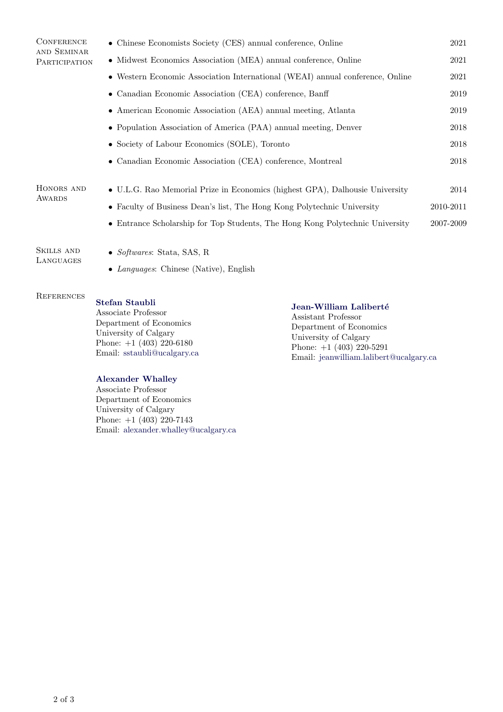| <b>CONFERENCE</b><br>AND SEMINAR | • Chinese Economists Society (CES) annual conference, Online                            |           |
|----------------------------------|-----------------------------------------------------------------------------------------|-----------|
| PARTICIPATION                    | • Midwest Economics Association (MEA) annual conference, Online                         |           |
|                                  | $\bullet\,$ Western Economic Association International (WEAI) annual conference, Online |           |
|                                  | • Canadian Economic Association (CEA) conference, Banff                                 | 2019      |
|                                  | • American Economic Association (AEA) annual meeting, Atlanta                           | 2019      |
|                                  | • Population Association of America (PAA) annual meeting, Denver                        |           |
|                                  | • Society of Labour Economics (SOLE), Toronto                                           | 2018      |
|                                  | • Canadian Economic Association (CEA) conference, Montreal                              | 2018      |
|                                  |                                                                                         |           |
| HONORS AND<br>AWARDS             | • U.L.G. Rao Memorial Prize in Economics (highest GPA), Dalhousie University            | 2014      |
|                                  | • Faculty of Business Dean's list, The Hong Kong Polytechnic University                 | 2010-2011 |
|                                  | • Entrance Scholarship for Top Students, The Hong Kong Polytechnic University           | 2007-2009 |
| SKILLS AND<br>LANGUAGES          | • Softwares: Stata, SAS, R<br>• Languages: Chinese (Native), English                    |           |
|                                  |                                                                                         |           |

#### **REFERENCES** [Stefan Staubli](https://sites.google.com/site/stefanstaubli/home)

## Jean-William Laliberté

Associate Professor Department of Economics University of Calgary Phone: +1 (403) 220-6180 Email: [sstaubli@ucalgary.ca](mailto: sstaubli@ucalgary.ca)

### [Alexander Whalley](https://www.alexwhalley.info/home)

Associate Professor Department of Economics University of Calgary Phone:  $+1$  (403) 220-7143 Email: [alexander.whalley@ucalgary.ca](mailto: alexander.whalley@ucalgary.ca) Assistant Professor Department of Economics University of Calgary Phone: +1 (403) 220-5291 Email: [jeanwilliam.lalibert@ucalgary.ca](mailto: jeanwilliam.lalibert@ucalgary.ca)